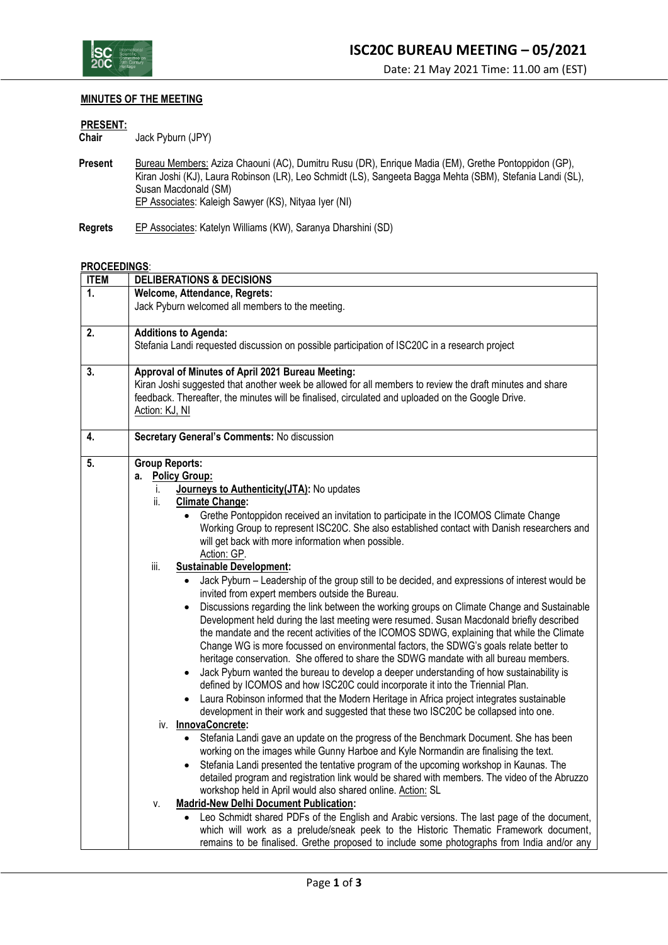

## **MINUTES OF THE MEETING**

## **PRESENT:**

Jack Pyburn (JPY)

- Present Bureau Members: Aziza Chaouni (AC), Dumitru Rusu (DR), Enrique Madia (EM), Grethe Pontoppidon (GP), Kiran Joshi (KJ), Laura Robinson (LR), Leo Schmidt (LS), Sangeeta Bagga Mehta (SBM), Stefania Landi (SL), Kiran Joshi (KJ), Laura Robinson (LR), Leo Schmidt (LS), Sangeeta Bagga Mehta (SBM), Stefania Landi (SL), Susan Macdonald (SM) EP Associates: Kaleigh Sawyer (KS), Nityaa Iyer (NI)
- **Regrets** EP Associates: Katelyn Williams (KW), Saranya Dharshini (SD)

## **PROCEEDINGS**:

| <b>ITEM</b>    | <b>DELIBERATIONS &amp; DECISIONS</b>                                                                     |  |  |  |
|----------------|----------------------------------------------------------------------------------------------------------|--|--|--|
| $\mathbf{1}$ . | Welcome, Attendance, Regrets:<br>Jack Pyburn welcomed all members to the meeting.                        |  |  |  |
|                |                                                                                                          |  |  |  |
|                |                                                                                                          |  |  |  |
| 2.             | <b>Additions to Agenda:</b>                                                                              |  |  |  |
|                | Stefania Landi requested discussion on possible participation of ISC20C in a research project            |  |  |  |
|                |                                                                                                          |  |  |  |
| 3.             | Approval of Minutes of April 2021 Bureau Meeting:                                                        |  |  |  |
|                | Kiran Joshi suggested that another week be allowed for all members to review the draft minutes and share |  |  |  |
|                | feedback. Thereafter, the minutes will be finalised, circulated and uploaded on the Google Drive.        |  |  |  |
|                | Action: KJ, NI                                                                                           |  |  |  |
|                |                                                                                                          |  |  |  |
| 4.             | Secretary General's Comments: No discussion                                                              |  |  |  |
|                |                                                                                                          |  |  |  |
| 5.             | <b>Group Reports:</b>                                                                                    |  |  |  |
|                | <b>Policy Group:</b><br>a.                                                                               |  |  |  |
|                | Journeys to Authenticity (JTA): No updates<br>i.                                                         |  |  |  |
|                | ii.<br><b>Climate Change:</b>                                                                            |  |  |  |
|                | Grethe Pontoppidon received an invitation to participate in the ICOMOS Climate Change<br>$\bullet$       |  |  |  |
|                | Working Group to represent ISC20C. She also established contact with Danish researchers and              |  |  |  |
|                | will get back with more information when possible.                                                       |  |  |  |
|                | Action: GP.                                                                                              |  |  |  |
|                | <b>Sustainable Development:</b><br>iii.                                                                  |  |  |  |
|                | Jack Pyburn - Leadership of the group still to be decided, and expressions of interest would be          |  |  |  |
|                | invited from expert members outside the Bureau.                                                          |  |  |  |
|                | Discussions regarding the link between the working groups on Climate Change and Sustainable<br>$\bullet$ |  |  |  |
|                | Development held during the last meeting were resumed. Susan Macdonald briefly described                 |  |  |  |
|                | the mandate and the recent activities of the ICOMOS SDWG, explaining that while the Climate              |  |  |  |
|                | Change WG is more focussed on environmental factors, the SDWG's goals relate better to                   |  |  |  |
|                | heritage conservation. She offered to share the SDWG mandate with all bureau members.                    |  |  |  |
|                | Jack Pyburn wanted the bureau to develop a deeper understanding of how sustainability is<br>$\bullet$    |  |  |  |
|                | defined by ICOMOS and how ISC20C could incorporate it into the Triennial Plan.                           |  |  |  |
|                | Laura Robinson informed that the Modern Heritage in Africa project integrates sustainable<br>$\bullet$   |  |  |  |
|                | development in their work and suggested that these two ISC20C be collapsed into one.                     |  |  |  |
|                | iv. InnovaConcrete:                                                                                      |  |  |  |
|                | Stefania Landi gave an update on the progress of the Benchmark Document. She has been<br>$\bullet$       |  |  |  |
|                | working on the images while Gunny Harboe and Kyle Normandin are finalising the text.                     |  |  |  |
|                | Stefania Landi presented the tentative program of the upcoming workshop in Kaunas. The<br>$\bullet$      |  |  |  |
|                | detailed program and registration link would be shared with members. The video of the Abruzzo            |  |  |  |
|                | workshop held in April would also shared online. Action: SL                                              |  |  |  |
|                | <b>Madrid-New Delhi Document Publication:</b><br>٧.                                                      |  |  |  |
|                | Leo Schmidt shared PDFs of the English and Arabic versions. The last page of the document,               |  |  |  |
|                | which will work as a prelude/sneak peek to the Historic Thematic Framework document,                     |  |  |  |
|                | remains to be finalised. Grethe proposed to include some photographs from India and/or any               |  |  |  |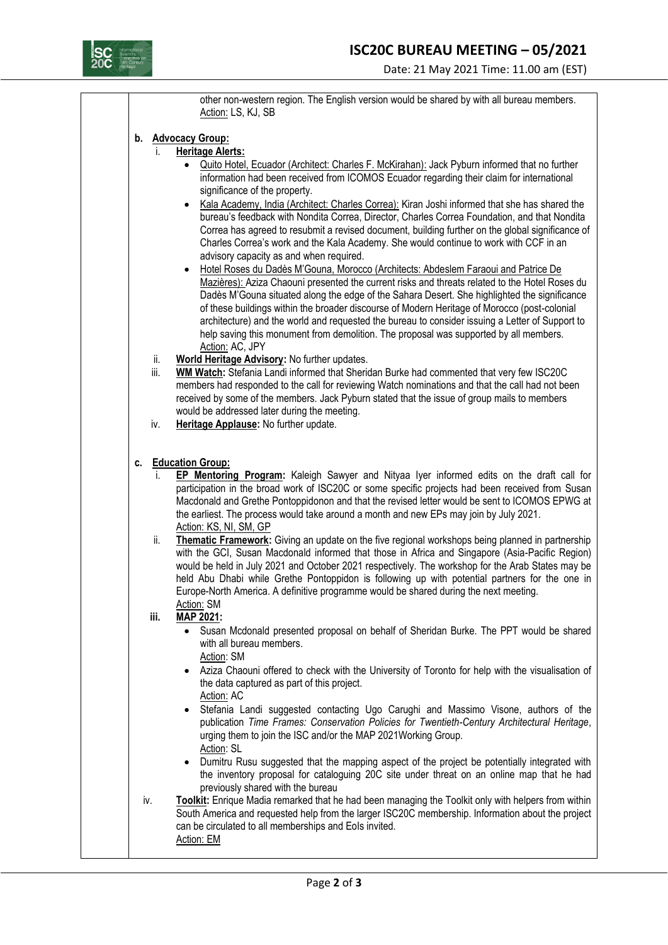

|                    | other non-western region. The English version would be shared by with all bureau members.                                                                                                                                                                                                                                                                                                                                                                                                                                                                                                                                                                                                                                                                                                                                                                                              |  |  |
|--------------------|----------------------------------------------------------------------------------------------------------------------------------------------------------------------------------------------------------------------------------------------------------------------------------------------------------------------------------------------------------------------------------------------------------------------------------------------------------------------------------------------------------------------------------------------------------------------------------------------------------------------------------------------------------------------------------------------------------------------------------------------------------------------------------------------------------------------------------------------------------------------------------------|--|--|
|                    | Action: LS, KJ, SB                                                                                                                                                                                                                                                                                                                                                                                                                                                                                                                                                                                                                                                                                                                                                                                                                                                                     |  |  |
| b. Advocacy Group: |                                                                                                                                                                                                                                                                                                                                                                                                                                                                                                                                                                                                                                                                                                                                                                                                                                                                                        |  |  |
| İ.                 | <b>Heritage Alerts:</b><br>Quito Hotel, Ecuador (Architect: Charles F. McKirahan): Jack Pyburn informed that no further<br>information had been received from ICOMOS Ecuador regarding their claim for international<br>significance of the property.<br>Kala Academy, India (Architect: Charles Correa): Kiran Joshi informed that she has shared the<br>bureau's feedback with Nondita Correa, Director, Charles Correa Foundation, and that Nondita<br>Correa has agreed to resubmit a revised document, building further on the global significance of<br>Charles Correa's work and the Kala Academy. She would continue to work with CCF in an<br>advisory capacity as and when required.<br>Hotel Roses du Dadès M'Gouna, Morocco (Architects: Abdeslem Faraoui and Patrice De<br>Mazières): Aziza Chaouni presented the current risks and threats related to the Hotel Roses du |  |  |
|                    | Dadès M'Gouna situated along the edge of the Sahara Desert. She highlighted the significance<br>of these buildings within the broader discourse of Modern Heritage of Morocco (post-colonial<br>architecture) and the world and requested the bureau to consider issuing a Letter of Support to<br>help saving this monument from demolition. The proposal was supported by all members.<br>Action: AC, JPY                                                                                                                                                                                                                                                                                                                                                                                                                                                                            |  |  |
| ii.<br>iii.        | World Heritage Advisory: No further updates.<br><b>WM Watch:</b> Stefania Landi informed that Sheridan Burke had commented that very few ISC20C<br>members had responded to the call for reviewing Watch nominations and that the call had not been<br>received by some of the members. Jack Pyburn stated that the issue of group mails to members                                                                                                                                                                                                                                                                                                                                                                                                                                                                                                                                    |  |  |
| iv.                | would be addressed later during the meeting.<br>Heritage Applause: No further update.                                                                                                                                                                                                                                                                                                                                                                                                                                                                                                                                                                                                                                                                                                                                                                                                  |  |  |
| c.                 | <b>Education Group:</b><br>EP Mentoring Program: Kaleigh Sawyer and Nityaa Iyer informed edits on the draft call for<br>participation in the broad work of ISC20C or some specific projects had been received from Susan<br>Macdonald and Grethe Pontoppidonon and that the revised letter would be sent to ICOMOS EPWG at<br>the earliest. The process would take around a month and new EPs may join by July 2021.<br>Action: KS, NI, SM, GP                                                                                                                                                                                                                                                                                                                                                                                                                                         |  |  |
| ii.                | Thematic Framework: Giving an update on the five regional workshops being planned in partnership<br>with the GCI, Susan Macdonald informed that those in Africa and Singapore (Asia-Pacific Region)<br>would be held in July 2021 and October 2021 respectively. The workshop for the Arab States may be<br>held Abu Dhabi while Grethe Pontoppidon is following up with potential partners for the one in<br>Europe-North America. A definitive programme would be shared during the next meeting.<br>Action: SM                                                                                                                                                                                                                                                                                                                                                                      |  |  |
| iii.               | MAP 2021:<br>Susan Mcdonald presented proposal on behalf of Sheridan Burke. The PPT would be shared<br>with all bureau members.<br>Action: SM                                                                                                                                                                                                                                                                                                                                                                                                                                                                                                                                                                                                                                                                                                                                          |  |  |
|                    | Aziza Chaouni offered to check with the University of Toronto for help with the visualisation of<br>the data captured as part of this project.<br>Action: AC                                                                                                                                                                                                                                                                                                                                                                                                                                                                                                                                                                                                                                                                                                                           |  |  |
|                    | Stefania Landi suggested contacting Ugo Carughi and Massimo Visone, authors of the<br>publication Time Frames: Conservation Policies for Twentieth-Century Architectural Heritage,<br>urging them to join the ISC and/or the MAP 2021 Working Group.<br>Action: SL                                                                                                                                                                                                                                                                                                                                                                                                                                                                                                                                                                                                                     |  |  |
|                    | Dumitru Rusu suggested that the mapping aspect of the project be potentially integrated with<br>the inventory proposal for cataloguing 20C site under threat on an online map that he had<br>previously shared with the bureau                                                                                                                                                                                                                                                                                                                                                                                                                                                                                                                                                                                                                                                         |  |  |
| iv.                | Toolkit: Enrique Madia remarked that he had been managing the Toolkit only with helpers from within<br>South America and requested help from the larger ISC20C membership. Information about the project<br>can be circulated to all memberships and Eols invited.<br>Action: EM                                                                                                                                                                                                                                                                                                                                                                                                                                                                                                                                                                                                       |  |  |